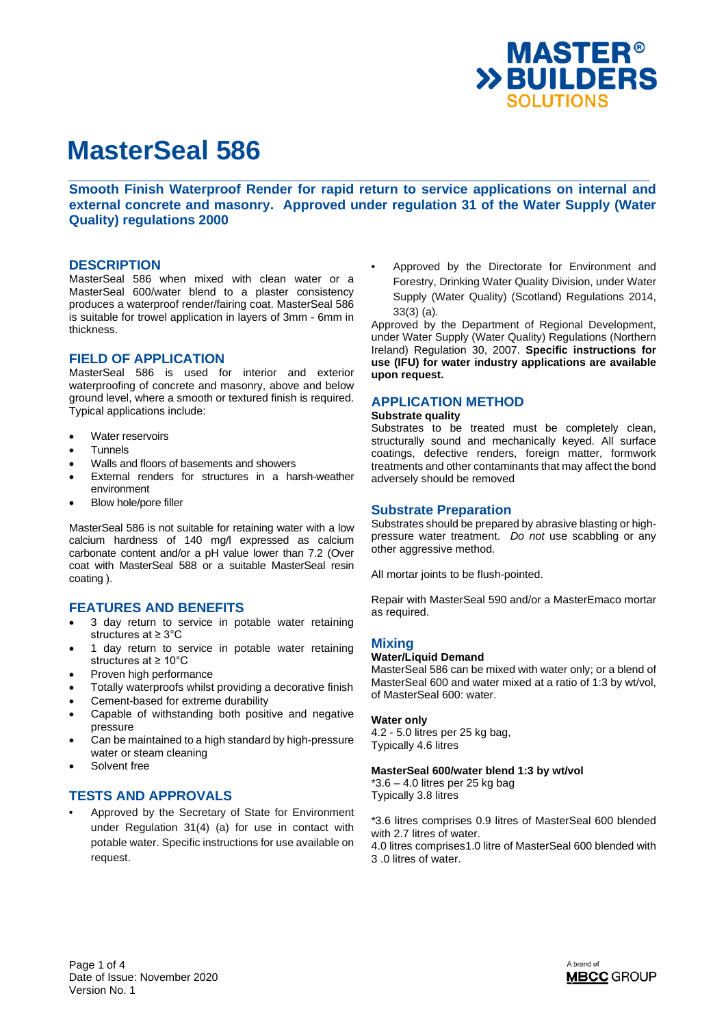

**Smooth Finish Waterproof Render for rapid return to service applications on internal and external concrete and masonry. Approved under regulation 31 of the Water Supply (Water Quality) regulations 2000**

### **DESCRIPTION**

MasterSeal 586 when mixed with clean water or a MasterSeal 600/water blend to a plaster consistency produces a waterproof render/fairing coat. MasterSeal 586 is suitable for trowel application in layers of 3mm - 6mm in thickness.

## **FIELD OF APPLICATION**

MasterSeal 586 is used for interior and exterior waterproofing of concrete and masonry, above and below ground level, where a smooth or textured finish is required. Typical applications include:

- Water reservoirs
- Tunnels
- Walls and floors of basements and showers
- External renders for structures in a harsh-weather environment
- Blow hole/pore filler

MasterSeal 586 is not suitable for retaining water with a low calcium hardness of 140 mg/l expressed as calcium carbonate content and/or a pH value lower than 7.2 (Over coat with MasterSeal 588 or a suitable MasterSeal resin coating ).

# **FEATURES AND BENEFITS**

- 3 day return to service in potable water retaining structures at ≥ 3°C
- 1 day return to service in potable water retaining structures at ≥ 10°C
- Proven high performance
- Totally waterproofs whilst providing a decorative finish
- Cement-based for extreme durability
- Capable of withstanding both positive and negative pressure
- Can be maintained to a high standard by high-pressure water or steam cleaning
- Solvent free

# **TESTS AND APPROVALS**

• Approved by the Secretary of State for Environment under Regulation 31(4) (a) for use in contact with potable water. Specific instructions for use available on request.

Approved by the Directorate for Environment and Forestry, Drinking Water Quality Division, under Water Supply (Water Quality) (Scotland) Regulations 2014, 33(3) (a).

Approved by the Department of Regional Development, under Water Supply (Water Quality) Regulations (Northern Ireland) Regulation 30, 2007. **Specific instructions for use (IFU) for water industry applications are available upon request.** 

### **APPLICATION METHOD**

#### **Substrate quality**

Substrates to be treated must be completely clean, structurally sound and mechanically keyed. All surface coatings, defective renders, foreign matter, formwork treatments and other contaminants that may affect the bond adversely should be removed

### **Substrate Preparation**

Substrates should be prepared by abrasive blasting or highpressure water treatment. *Do not* use scabbling or any other aggressive method.

All mortar joints to be flush-pointed.

Repair with MasterSeal 590 and/or a MasterEmaco mortar as required.

### **Mixing**

#### **Water/Liquid Demand**

MasterSeal 586 can be mixed with water only; or a blend of MasterSeal 600 and water mixed at a ratio of 1:3 by wt/vol, of MasterSeal 600: water.

#### **Water only**

4.2 - 5.0 litres per 25 kg bag, Typically 4.6 litres

#### **MasterSeal 600/water blend 1:3 by wt/vol**

 $*3.6 - 4.0$  litres per 25 kg bag Typically 3.8 litres

\*3.6 litres comprises 0.9 litres of MasterSeal 600 blended with 2.7 litres of water. 4.0 litres comprises1.0 litre of MasterSeal 600 blended with 3 .0 litres of water.

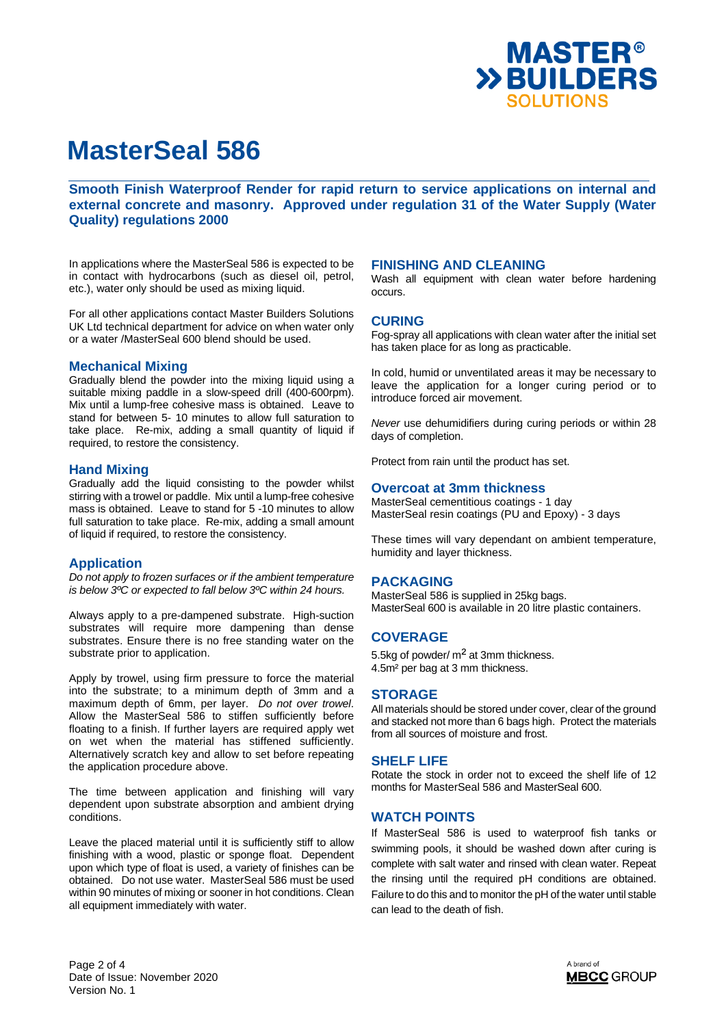

**Smooth Finish Waterproof Render for rapid return to service applications on internal and external concrete and masonry. Approved under regulation 31 of the Water Supply (Water Quality) regulations 2000**

In applications where the MasterSeal 586 is expected to be in contact with hydrocarbons (such as diesel oil, petrol, etc.), water only should be used as mixing liquid.

For all other applications contact Master Builders Solutions UK Ltd technical department for advice on when water only or a water /MasterSeal 600 blend should be used.

### **Mechanical Mixing**

Gradually blend the powder into the mixing liquid using a suitable mixing paddle in a slow-speed drill (400-600rpm). Mix until a lump-free cohesive mass is obtained. Leave to stand for between 5- 10 minutes to allow full saturation to take place. Re-mix, adding a small quantity of liquid if required, to restore the consistency.

### **Hand Mixing**

Gradually add the liquid consisting to the powder whilst stirring with a trowel or paddle. Mix until a lump-free cohesive mass is obtained. Leave to stand for 5 -10 minutes to allow full saturation to take place. Re-mix, adding a small amount of liquid if required, to restore the consistency.

# **Application**

*Do not apply to frozen surfaces or if the ambient temperature is below 3ºC or expected to fall below 3ºC within 24 hours.* 

Always apply to a pre-dampened substrate. High-suction substrates will require more dampening than dense substrates. Ensure there is no free standing water on the substrate prior to application.

Apply by trowel, using firm pressure to force the material into the substrate; to a minimum depth of 3mm and a maximum depth of 6mm, per layer. *Do not over trowel*. Allow the MasterSeal 586 to stiffen sufficiently before floating to a finish. If further layers are required apply wet on wet when the material has stiffened sufficiently. Alternatively scratch key and allow to set before repeating the application procedure above.

The time between application and finishing will vary dependent upon substrate absorption and ambient drying conditions.

Leave the placed material until it is sufficiently stiff to allow finishing with a wood, plastic or sponge float. Dependent upon which type of float is used, a variety of finishes can be obtained. Do not use water. MasterSeal 586 must be used within 90 minutes of mixing or sooner in hot conditions. Clean all equipment immediately with water.

### **FINISHING AND CLEANING**

Wash all equipment with clean water before hardening occurs.

### **CURING**

Fog-spray all applications with clean water after the initial set has taken place for as long as practicable.

In cold, humid or unventilated areas it may be necessary to leave the application for a longer curing period or to introduce forced air movement.

*Never* use dehumidifiers during curing periods or within 28 days of completion.

Protect from rain until the product has set.

### **Overcoat at 3mm thickness**

MasterSeal cementitious coatings - 1 day MasterSeal resin coatings (PU and Epoxy) - 3 days

These times will vary dependant on ambient temperature, humidity and layer thickness.

### **PACKAGING**

MasterSeal 586 is supplied in 25kg bags. MasterSeal 600 is available in 20 litre plastic containers.

# **COVERAGE**

5.5kg of powder/ $m<sup>2</sup>$  at 3mm thickness. 4.5m² per bag at 3 mm thickness.

### **STORAGE**

All materials should be stored under cover, clear of the ground and stacked not more than 6 bags high. Protect the materials from all sources of moisture and frost.

#### **SHELF LIFE**

Rotate the stock in order not to exceed the shelf life of 12 months for MasterSeal 586 and MasterSeal 600.

# **WATCH POINTS**

If MasterSeal 586 is used to waterproof fish tanks or swimming pools, it should be washed down after curing is complete with salt water and rinsed with clean water. Repeat the rinsing until the required pH conditions are obtained. Failure to do this and to monitor the pH of the water until stable can lead to the death of fish.

Page 2 of 4 Date of Issue: November 2020 Version No. 1

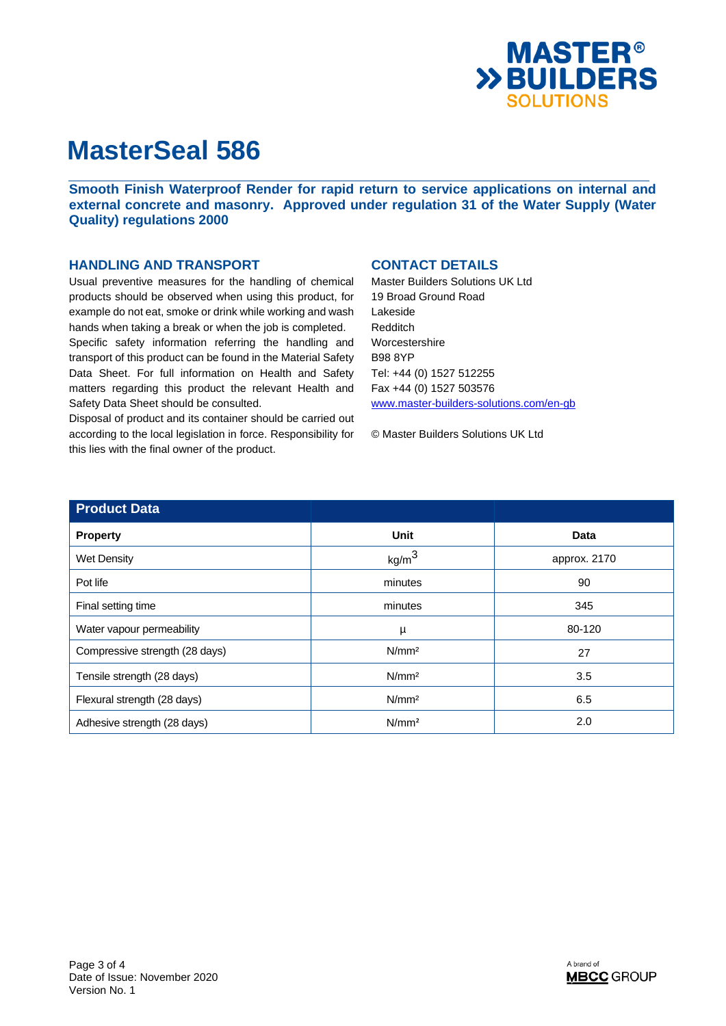

**Smooth Finish Waterproof Render for rapid return to service applications on internal and external concrete and masonry. Approved under regulation 31 of the Water Supply (Water Quality) regulations 2000**

# **HANDLING AND TRANSPORT**

Usual preventive measures for the handling of chemical products should be observed when using this product, for example do not eat, smoke or drink while working and wash hands when taking a break or when the job is completed.

Specific safety information referring the handling and transport of this product can be found in the Material Safety Data Sheet. For full information on Health and Safety matters regarding this product the relevant Health and Safety Data Sheet should be consulted.

Disposal of product and its container should be carried out according to the local legislation in force. Responsibility for this lies with the final owner of the product.

# **CONTACT DETAILS**

Master Builders Solutions UK Ltd 19 Broad Ground Road Lakeside Redditch Worcestershire B98 8YP Tel: +44 (0) 1527 512255 Fax +44 (0) 1527 503576 www.master-builders-solutions.com/en-gb

© Master Builders Solutions UK Ltd

| <b>Product Data</b>            |                   |              |
|--------------------------------|-------------------|--------------|
| <b>Property</b>                | Unit              | <b>Data</b>  |
| <b>Wet Density</b>             | kg/m <sup>3</sup> | approx. 2170 |
| Pot life                       | minutes           | 90           |
| Final setting time             | minutes           | 345          |
| Water vapour permeability      | μ                 | 80-120       |
| Compressive strength (28 days) | N/mm <sup>2</sup> | 27           |
| Tensile strength (28 days)     | N/mm <sup>2</sup> | 3.5          |
| Flexural strength (28 days)    | N/mm <sup>2</sup> | 6.5          |
| Adhesive strength (28 days)    | N/mm <sup>2</sup> | 2.0          |